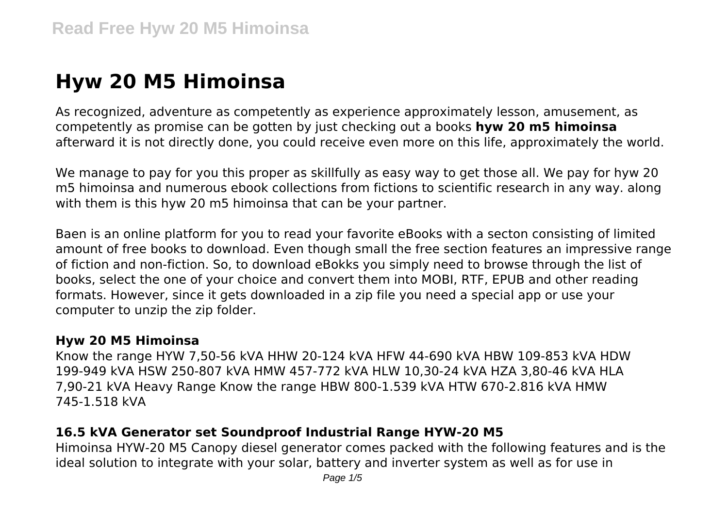# **Hyw 20 M5 Himoinsa**

As recognized, adventure as competently as experience approximately lesson, amusement, as competently as promise can be gotten by just checking out a books **hyw 20 m5 himoinsa** afterward it is not directly done, you could receive even more on this life, approximately the world.

We manage to pay for you this proper as skillfully as easy way to get those all. We pay for hyw 20 m5 himoinsa and numerous ebook collections from fictions to scientific research in any way. along with them is this hyw 20 m5 himoinsa that can be your partner.

Baen is an online platform for you to read your favorite eBooks with a secton consisting of limited amount of free books to download. Even though small the free section features an impressive range of fiction and non-fiction. So, to download eBokks you simply need to browse through the list of books, select the one of your choice and convert them into MOBI, RTF, EPUB and other reading formats. However, since it gets downloaded in a zip file you need a special app or use your computer to unzip the zip folder.

#### **Hyw 20 M5 Himoinsa**

Know the range HYW 7,50-56 kVA HHW 20-124 kVA HFW 44-690 kVA HBW 109-853 kVA HDW 199-949 kVA HSW 250-807 kVA HMW 457-772 kVA HLW 10,30-24 kVA HZA 3,80-46 kVA HLA 7,90-21 kVA Heavy Range Know the range HBW 800-1.539 kVA HTW 670-2.816 kVA HMW 745-1.518 kVA

#### **16.5 kVA Generator set Soundproof Industrial Range HYW-20 M5**

Himoinsa HYW-20 M5 Canopy diesel generator comes packed with the following features and is the ideal solution to integrate with your solar, battery and inverter system as well as for use in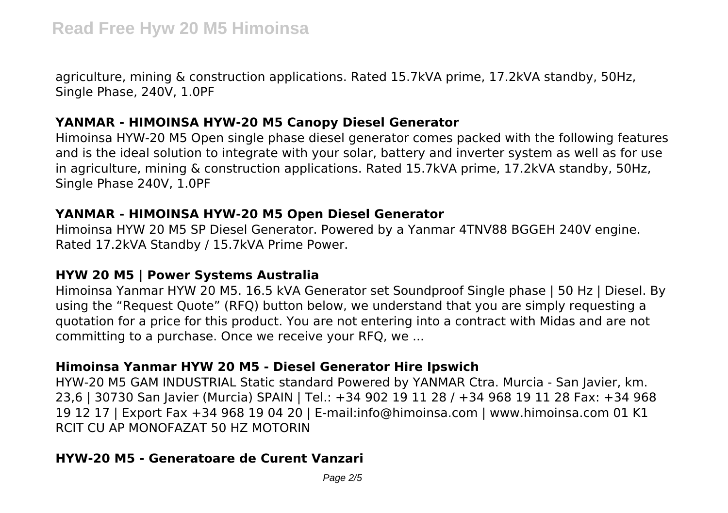agriculture, mining & construction applications. Rated 15.7kVA prime, 17.2kVA standby, 50Hz, Single Phase, 240V, 1.0PF

## **YANMAR - HIMOINSA HYW-20 M5 Canopy Diesel Generator**

Himoinsa HYW-20 M5 Open single phase diesel generator comes packed with the following features and is the ideal solution to integrate with your solar, battery and inverter system as well as for use in agriculture, mining & construction applications. Rated 15.7kVA prime, 17.2kVA standby, 50Hz, Single Phase 240V, 1.0PF

## **YANMAR - HIMOINSA HYW-20 M5 Open Diesel Generator**

Himoinsa HYW 20 M5 SP Diesel Generator. Powered by a Yanmar 4TNV88 BGGEH 240V engine. Rated 17.2kVA Standby / 15.7kVA Prime Power.

## **HYW 20 M5 | Power Systems Australia**

Himoinsa Yanmar HYW 20 M5. 16.5 kVA Generator set Soundproof Single phase | 50 Hz | Diesel. By using the "Request Quote" (RFQ) button below, we understand that you are simply requesting a quotation for a price for this product. You are not entering into a contract with Midas and are not committing to a purchase. Once we receive your RFQ, we ...

# **Himoinsa Yanmar HYW 20 M5 - Diesel Generator Hire Ipswich**

HYW-20 M5 GAM INDUSTRIAL Static standard Powered by YANMAR Ctra. Murcia - San Javier, km. 23,6 | 30730 San Javier (Murcia) SPAIN | Tel.: +34 902 19 11 28 / +34 968 19 11 28 Fax: +34 968 19 12 17 | Export Fax +34 968 19 04 20 | E-mail:info@himoinsa.com | www.himoinsa.com 01 K1 RCIT CU AP MONOFAZAT 50 HZ MOTORIN

# **HYW-20 M5 - Generatoare de Curent Vanzari**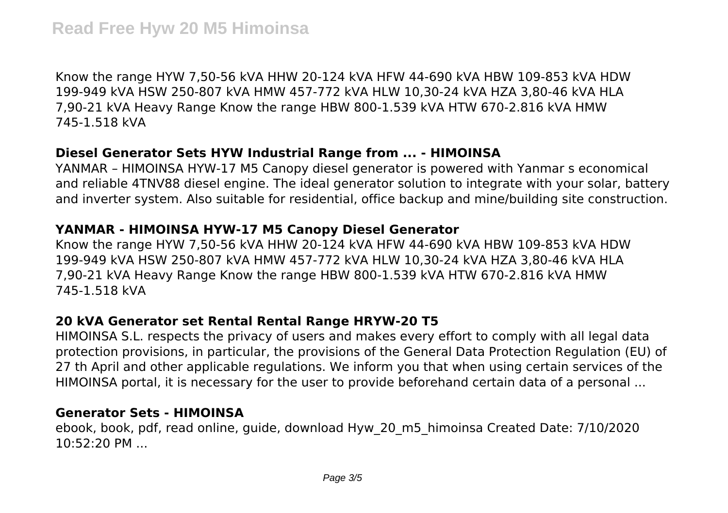Know the range HYW 7,50-56 kVA HHW 20-124 kVA HFW 44-690 kVA HBW 109-853 kVA HDW 199-949 kVA HSW 250-807 kVA HMW 457-772 kVA HLW 10,30-24 kVA HZA 3,80-46 kVA HLA 7,90-21 kVA Heavy Range Know the range HBW 800-1.539 kVA HTW 670-2.816 kVA HMW 745-1.518 kVA

## **Diesel Generator Sets HYW Industrial Range from ... - HIMOINSA**

YANMAR – HIMOINSA HYW-17 M5 Canopy diesel generator is powered with Yanmar s economical and reliable 4TNV88 diesel engine. The ideal generator solution to integrate with your solar, battery and inverter system. Also suitable for residential, office backup and mine/building site construction.

## **YANMAR - HIMOINSA HYW-17 M5 Canopy Diesel Generator**

Know the range HYW 7,50-56 kVA HHW 20-124 kVA HFW 44-690 kVA HBW 109-853 kVA HDW 199-949 kVA HSW 250-807 kVA HMW 457-772 kVA HLW 10,30-24 kVA HZA 3,80-46 kVA HLA 7,90-21 kVA Heavy Range Know the range HBW 800-1.539 kVA HTW 670-2.816 kVA HMW 745-1.518 kVA

# **20 kVA Generator set Rental Rental Range HRYW-20 T5**

HIMOINSA S.L. respects the privacy of users and makes every effort to comply with all legal data protection provisions, in particular, the provisions of the General Data Protection Regulation (EU) of 27 th April and other applicable regulations. We inform you that when using certain services of the HIMOINSA portal, it is necessary for the user to provide beforehand certain data of a personal ...

#### **Generator Sets - HIMOINSA**

ebook, book, pdf, read online, guide, download Hyw\_20\_m5\_himoinsa Created Date: 7/10/2020 10:52:20 PM ...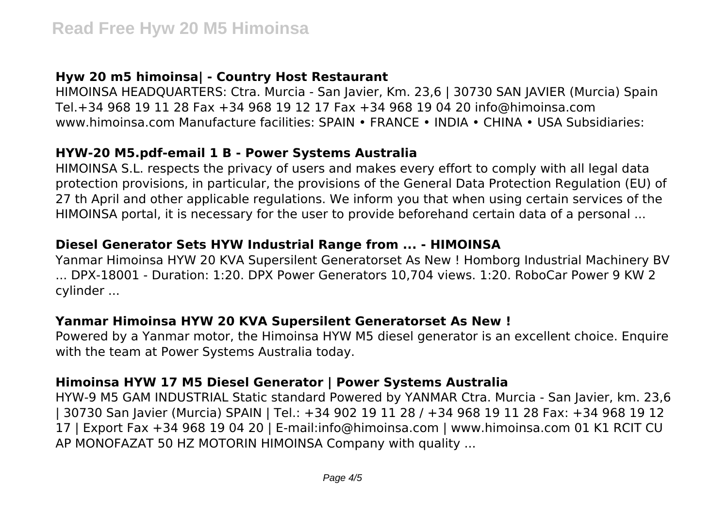# **Hyw 20 m5 himoinsa| - Country Host Restaurant**

HIMOINSA HEADQUARTERS: Ctra. Murcia - San Javier, Km. 23,6 | 30730 SAN JAVIER (Murcia) Spain Tel.+34 968 19 11 28 Fax +34 968 19 12 17 Fax +34 968 19 04 20 info@himoinsa.com www.himoinsa.com Manufacture facilities: SPAIN • FRANCE • INDIA • CHINA • USA Subsidiaries:

## **HYW-20 M5.pdf-email 1 B - Power Systems Australia**

HIMOINSA S.L. respects the privacy of users and makes every effort to comply with all legal data protection provisions, in particular, the provisions of the General Data Protection Regulation (EU) of 27 th April and other applicable regulations. We inform you that when using certain services of the HIMOINSA portal, it is necessary for the user to provide beforehand certain data of a personal ...

## **Diesel Generator Sets HYW Industrial Range from ... - HIMOINSA**

Yanmar Himoinsa HYW 20 KVA Supersilent Generatorset As New ! Homborg Industrial Machinery BV ... DPX-18001 - Duration: 1:20. DPX Power Generators 10,704 views. 1:20. RoboCar Power 9 KW 2 cylinder ...

#### **Yanmar Himoinsa HYW 20 KVA Supersilent Generatorset As New !**

Powered by a Yanmar motor, the Himoinsa HYW M5 diesel generator is an excellent choice. Enquire with the team at Power Systems Australia today.

## **Himoinsa HYW 17 M5 Diesel Generator | Power Systems Australia**

HYW-9 M5 GAM INDUSTRIAL Static standard Powered by YANMAR Ctra. Murcia - San Javier, km. 23,6 | 30730 San Javier (Murcia) SPAIN | Tel.: +34 902 19 11 28 / +34 968 19 11 28 Fax: +34 968 19 12 17 | Export Fax +34 968 19 04 20 | E-mail:info@himoinsa.com | www.himoinsa.com 01 K1 RCIT CU AP MONOFAZAT 50 HZ MOTORIN HIMOINSA Company with quality ...